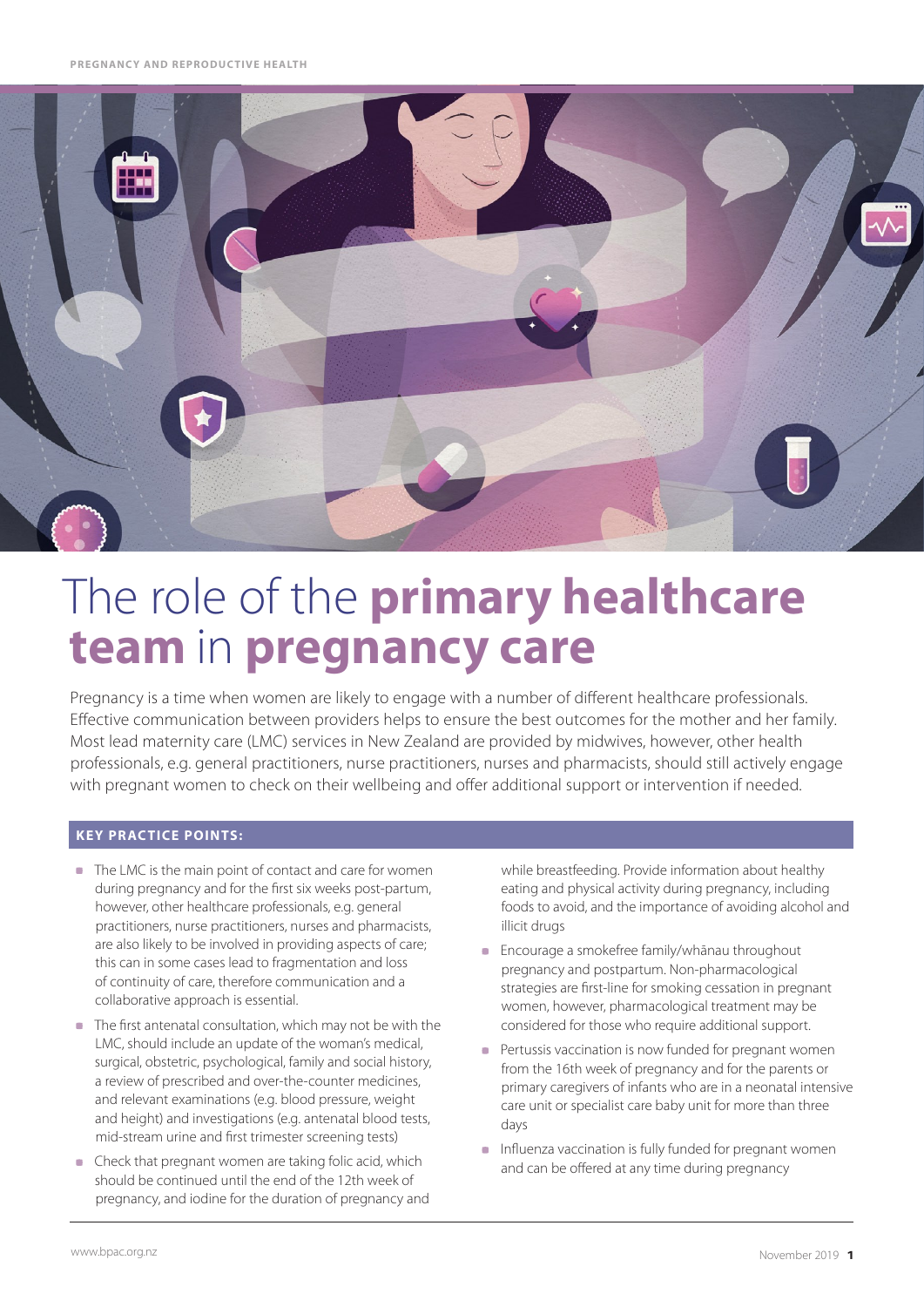

# The role of the **primary healthcare team** in **pregnancy care**

Pregnancy is a time when women are likely to engage with a number of different healthcare professionals. Effective communication between providers helps to ensure the best outcomes for the mother and her family. Most lead maternity care (LMC) services in New Zealand are provided by midwives, however, other health professionals, e.g. general practitioners, nurse practitioners, nurses and pharmacists, should still actively engage with pregnant women to check on their wellbeing and offer additional support or intervention if needed.

# **Key practice points:**

- The LMC is the main point of contact and care for women during pregnancy and for the first six weeks post-partum, however, other healthcare professionals, e.g. general practitioners, nurse practitioners, nurses and pharmacists, are also likely to be involved in providing aspects of care; this can in some cases lead to fragmentation and loss of continuity of care, therefore communication and a collaborative approach is essential.
- The first antenatal consultation, which may not be with the LMC, should include an update of the woman's medical, surgical, obstetric, psychological, family and social history, a review of prescribed and over-the-counter medicines, and relevant examinations (e.g. blood pressure, weight and height) and investigations (e.g. antenatal blood tests, mid-stream urine and first trimester screening tests)
- Check that pregnant women are taking folic acid, which should be continued until the end of the 12th week of pregnancy, and iodine for the duration of pregnancy and

while breastfeeding. Provide information about healthy eating and physical activity during pregnancy, including foods to avoid, and the importance of avoiding alcohol and illicit drugs

- Encourage a smokefree family/whānau throughout pregnancy and postpartum. Non-pharmacological strategies are first-line for smoking cessation in pregnant women, however, pharmacological treatment may be considered for those who require additional support.
- Pertussis vaccination is now funded for pregnant women from the 16th week of pregnancy and for the parents or primary caregivers of infants who are in a neonatal intensive care unit or specialist care baby unit for more than three days
- **Influenza vaccination is fully funded for pregnant women** and can be offered at any time during pregnancy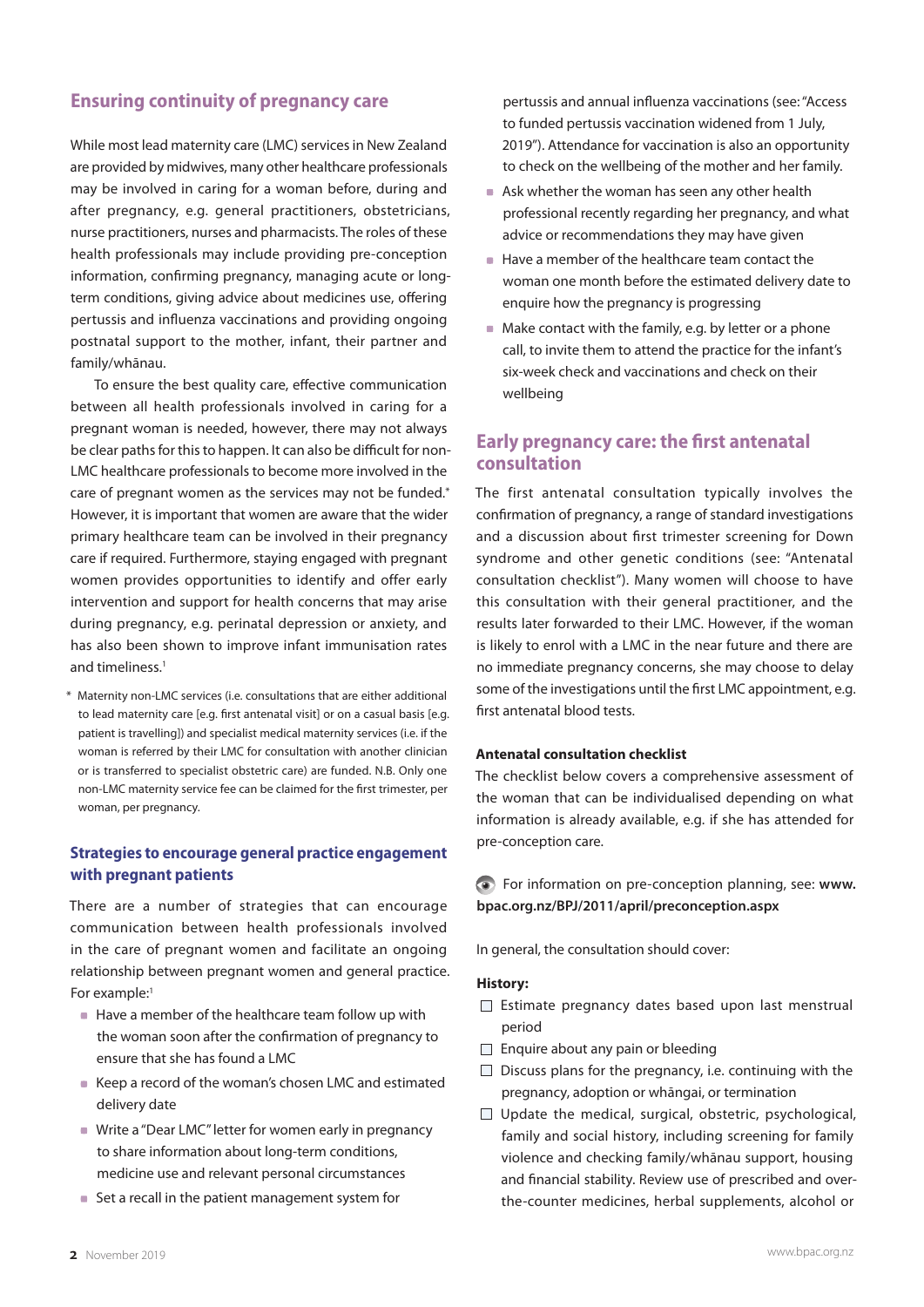# **Ensuring continuity of pregnancy care**

While most lead maternity care (LMC) services in New Zealand are provided by midwives, many other healthcare professionals may be involved in caring for a woman before, during and after pregnancy, e.g. general practitioners, obstetricians, nurse practitioners, nurses and pharmacists. The roles of these health professionals may include providing pre-conception information, confirming pregnancy, managing acute or longterm conditions, giving advice about medicines use, offering pertussis and influenza vaccinations and providing ongoing postnatal support to the mother, infant, their partner and family/whānau.

To ensure the best quality care, effective communication between all health professionals involved in caring for a pregnant woman is needed, however, there may not always be clear paths for this to happen. It can also be difficult for non-LMC healthcare professionals to become more involved in the care of pregnant women as the services may not be funded.\* However, it is important that women are aware that the wider primary healthcare team can be involved in their pregnancy care if required. Furthermore, staying engaged with pregnant women provides opportunities to identify and offer early intervention and support for health concerns that may arise during pregnancy, e.g. perinatal depression or anxiety, and has also been shown to improve infant immunisation rates and timeliness.<sup>1</sup>

\* Maternity non-LMC services (i.e. consultations that are either additional to lead maternity care [e.g. first antenatal visit] or on a casual basis [e.g. patient is travelling]) and specialist medical maternity services (i.e. if the woman is referred by their LMC for consultation with another clinician or is transferred to specialist obstetric care) are funded. N.B. Only one non-LMC maternity service fee can be claimed for the first trimester, per woman, per pregnancy.

## **Strategies to encourage general practice engagement with pregnant patients**

There are a number of strategies that can encourage communication between health professionals involved in the care of pregnant women and facilitate an ongoing relationship between pregnant women and general practice. For example:<sup>1</sup>

- Have a member of the healthcare team follow up with the woman soon after the confirmation of pregnancy to ensure that she has found a LMC
- Keep a record of the woman's chosen LMC and estimated delivery date
- Write a "Dear LMC" letter for women early in pregnancy to share information about long-term conditions, medicine use and relevant personal circumstances
- Set a recall in the patient management system for

pertussis and annual influenza vaccinations (see: "Access to funded pertussis vaccination widened from 1 July, 2019"). Attendance for vaccination is also an opportunity to check on the wellbeing of the mother and her family.

- Ask whether the woman has seen any other health professional recently regarding her pregnancy, and what advice or recommendations they may have given
- Have a member of the healthcare team contact the woman one month before the estimated delivery date to enquire how the pregnancy is progressing
- Make contact with the family, e.g. by letter or a phone call, to invite them to attend the practice for the infant's six-week check and vaccinations and check on their wellbeing

# **Early pregnancy care: the first antenatal consultation**

The first antenatal consultation typically involves the confirmation of pregnancy, a range of standard investigations and a discussion about first trimester screening for Down syndrome and other genetic conditions (see: "Antenatal consultation checklist"). Many women will choose to have this consultation with their general practitioner, and the results later forwarded to their LMC. However, if the woman is likely to enrol with a LMC in the near future and there are no immediate pregnancy concerns, she may choose to delay some of the investigations until the first LMC appointment, e.g. first antenatal blood tests.

## **Antenatal consultation checklist**

The checklist below covers a comprehensive assessment of the woman that can be individualised depending on what information is already available, e.g. if she has attended for pre-conception care.

For information on pre-conception planning, see: **[www.](www.bpac.org.nz/BPJ/2011/april/preconception.aspx) [bpac.org.nz/BPJ/2011/april/preconception.aspx](www.bpac.org.nz/BPJ/2011/april/preconception.aspx)**

In general, the consultation should cover:

## **History:**

- $\Box$  Estimate pregnancy dates based upon last menstrual period
- $\Box$  Enquire about any pain or bleeding
- $\Box$  Discuss plans for the pregnancy, i.e. continuing with the pregnancy, adoption or whāngai, or termination
- $\Box$  Update the medical, surgical, obstetric, psychological, family and social history, including screening for family violence and checking family/whānau support, housing and financial stability. Review use of prescribed and overthe-counter medicines, herbal supplements, alcohol or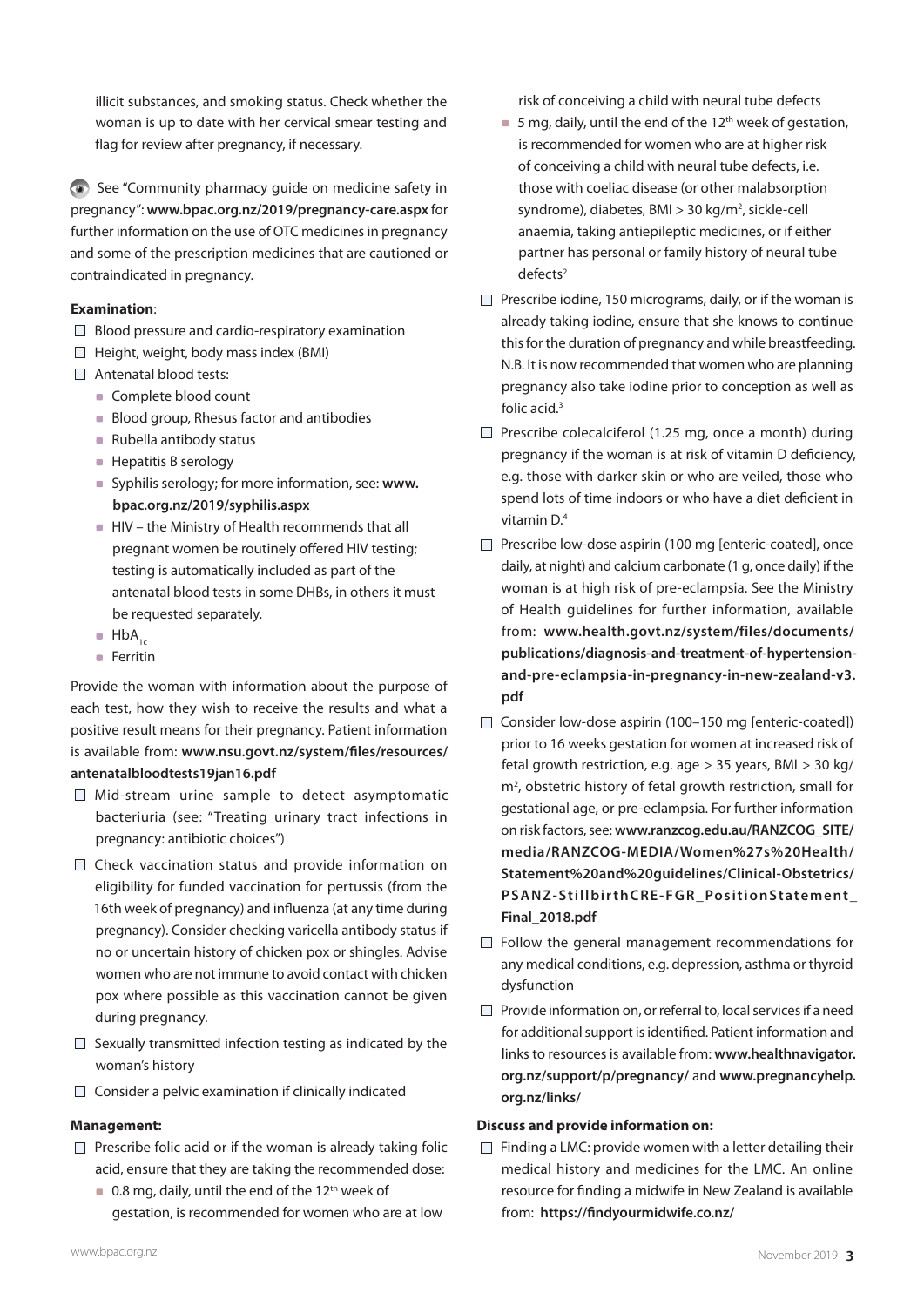illicit substances, and smoking status. Check whether the woman is up to date with her cervical smear testing and flag for review after pregnancy, if necessary.

See "Community pharmacy quide on medicine safety in pregnancy": **<www.bpac.org.nz/2019/pregnancy-care.aspx>** for further information on the use of OTC medicines in pregnancy and some of the prescription medicines that are cautioned or contraindicated in pregnancy.

## **Examination**:

- $\Box$  Blood pressure and cardio-respiratory examination
- $\Box$  Height, weight, body mass index (BMI)
- □ Antenatal blood tests:
	- Complete blood count
	- **Blood group, Rhesus factor and antibodies**
	- Rubella antibody status
	- Hepatitis B serology
	- Syphilis serology; for more information, see: **[www.](www.bpac.org.nz/2019/syphilis.aspx) [bpac.org.nz/2019/syphilis.aspx](www.bpac.org.nz/2019/syphilis.aspx)**
	- HIV the Ministry of Health recommends that all pregnant women be routinely offered HIV testing; testing is automatically included as part of the antenatal blood tests in some DHBs, in others it must be requested separately.
	- $HbA_{1c}$
	- **Ferritin**

Provide the woman with information about the purpose of each test, how they wish to receive the results and what a positive result means for their pregnancy. Patient information is available from: **[www.nsu.govt.nz/system/files/resources/](www.nsu.govt.nz/system/files/resources/antenatalbloodtests19jan16.pdf ) [antenatalbloodtests19jan16.pdf](www.nsu.govt.nz/system/files/resources/antenatalbloodtests19jan16.pdf )**

- $\Box$  Mid-stream urine sample to detect asymptomatic bacteriuria (see: "Treating urinary tract infections in pregnancy: antibiotic choices")
- $\Box$  Check vaccination status and provide information on eligibility for funded vaccination for pertussis (from the 16th week of pregnancy) and influenza (at any time during pregnancy). Consider checking varicella antibody status if no or uncertain history of chicken pox or shingles. Advise women who are not immune to avoid contact with chicken pox where possible as this vaccination cannot be given during pregnancy.
- $\Box$  Sexually transmitted infection testing as indicated by the woman's history
- $\Box$  Consider a pelvic examination if clinically indicated

### **Management:**

- $\Box$  Prescribe folic acid or if the woman is already taking folic acid, ensure that they are taking the recommended dose:
	- 0.8 mg, daily, until the end of the 12<sup>th</sup> week of gestation, is recommended for women who are at low

risk of conceiving a child with neural tube defects

- 5 mg, daily, until the end of the  $12<sup>th</sup>$  week of gestation, is recommended for women who are at higher risk of conceiving a child with neural tube defects, i.e. those with coeliac disease (or other malabsorption syndrome), diabetes, BMI > 30 kg/m<sup>2</sup>, sickle-cell anaemia, taking antiepileptic medicines, or if either partner has personal or family history of neural tube defects<sup>2</sup>
- $\Box$  Prescribe iodine, 150 micrograms, daily, or if the woman is already taking iodine, ensure that she knows to continue this for the duration of pregnancy and while breastfeeding. N.B. It is now recommended that women who are planning pregnancy also take iodine prior to conception as well as folic acid.<sup>3</sup>
- $\Box$  Prescribe colecalciferol (1.25 mg, once a month) during pregnancy if the woman is at risk of vitamin D deficiency, e.g. those with darker skin or who are veiled, those who spend lots of time indoors or who have a diet deficient in vitamin D.4
- $\Box$  Prescribe low-dose aspirin (100 mg [enteric-coated], once daily, at night) and calcium carbonate (1 g, once daily) if the woman is at high risk of pre-eclampsia. See the Ministry of Health guidelines for further information, available from: **[www.health.govt.nz/system/files/documents/](www.health.govt.nz/system/files/documents/publications/diagnosis-and-treatment-of-hypertension-and-pre-eclampsia-in-pregnancy-in-new-zealand-v3.pdf) [publications/diagnosis-and-treatment-of-hypertension](www.health.govt.nz/system/files/documents/publications/diagnosis-and-treatment-of-hypertension-and-pre-eclampsia-in-pregnancy-in-new-zealand-v3.pdf)[and-pre-eclampsia-in-pregnancy-in-new-zealand-v3.](www.health.govt.nz/system/files/documents/publications/diagnosis-and-treatment-of-hypertension-and-pre-eclampsia-in-pregnancy-in-new-zealand-v3.pdf) [pdf](www.health.govt.nz/system/files/documents/publications/diagnosis-and-treatment-of-hypertension-and-pre-eclampsia-in-pregnancy-in-new-zealand-v3.pdf)**
- Consider low-dose aspirin (100-150 mg [enteric-coated]) prior to 16 weeks gestation for women at increased risk of fetal growth restriction, e.g. age > 35 years, BMI > 30 kg/ m<sup>2</sup>, obstetric history of fetal growth restriction, small for gestational age, or pre-eclampsia. For further information on risk factors, see: **[www.ranzcog.edu.au/RANZCOG\\_SITE/]( www.ranzcog.edu.au/RANZCOG_SITE/media/RANZCOG-MEDIA/Women%27s%20Health/Statement%20and%20guidelines/Clinical-Obstetrics/PSANZ-StillbirthCRE-FGR_PositionStatement_Final_2018.pdf) [media/RANZCOG-MEDIA/Women%27s%20Health/]( www.ranzcog.edu.au/RANZCOG_SITE/media/RANZCOG-MEDIA/Women%27s%20Health/Statement%20and%20guidelines/Clinical-Obstetrics/PSANZ-StillbirthCRE-FGR_PositionStatement_Final_2018.pdf) [Statement%20and%20guidelines/Clinical-Obstetrics/]( www.ranzcog.edu.au/RANZCOG_SITE/media/RANZCOG-MEDIA/Women%27s%20Health/Statement%20and%20guidelines/Clinical-Obstetrics/PSANZ-StillbirthCRE-FGR_PositionStatement_Final_2018.pdf) [PSANZ-StillbirthCRE-FGR\\_PositionStatement\\_]( www.ranzcog.edu.au/RANZCOG_SITE/media/RANZCOG-MEDIA/Women%27s%20Health/Statement%20and%20guidelines/Clinical-Obstetrics/PSANZ-StillbirthCRE-FGR_PositionStatement_Final_2018.pdf) [Final\\_2018.pdf]( www.ranzcog.edu.au/RANZCOG_SITE/media/RANZCOG-MEDIA/Women%27s%20Health/Statement%20and%20guidelines/Clinical-Obstetrics/PSANZ-StillbirthCRE-FGR_PositionStatement_Final_2018.pdf)**
- $\Box$  Follow the general management recommendations for any medical conditions, e.g. depression, asthma or thyroid dysfunction
- $\Box$  Provide information on, or referral to, local services if a need for additional support is identified. Patient information and links to resources is available from: **[www.healthnavigator.](www.healthnavigator.org.nz/support/p/pregnancy/) [org.nz/support/p/pregnancy/](www.healthnavigator.org.nz/support/p/pregnancy/)** and **[www.pregnancyhelp.](www.pregnancyhelp.org.nz/links/) [org.nz/links/](www.pregnancyhelp.org.nz/links/)**

### **Discuss and provide information on:**

 $\Box$  Finding a LMC: provide women with a letter detailing their medical history and medicines for the LMC. An online resource for finding a midwife in New Zealand is available from: **<https://findyourmidwife.co.nz/>**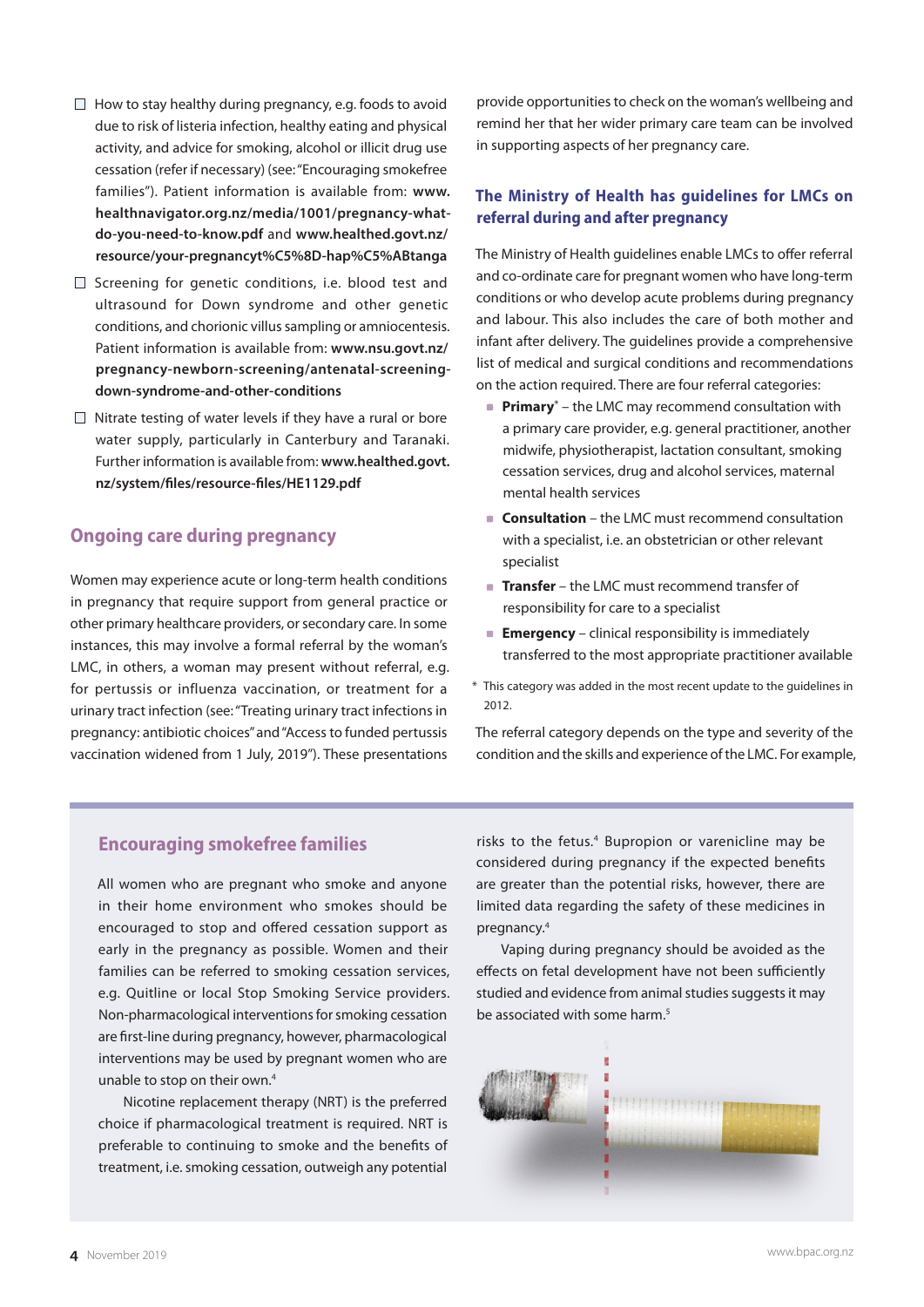- $\Box$  How to stay healthy during pregnancy, e.g. foods to avoid due to risk of listeria infection, healthy eating and physical activity, and advice for smoking, alcohol or illicit drug use cessation (refer if necessary) (see: "Encouraging smokefree families"). Patient information is available from: **[www.](www.healthnavigator.org.nz/media/1001/pregnancy-what-do-you-need-to-know.pdf and www.healthed.govt.nz/resource/your-pregnancyt%C5%8D-hap%C5%ABtanga) [healthnavigator.org.nz/media/1001/pregnancy-what](www.healthnavigator.org.nz/media/1001/pregnancy-what-do-you-need-to-know.pdf and www.healthed.govt.nz/resource/your-pregnancyt%C5%8D-hap%C5%ABtanga)[do-you-need-to-know.pdf](www.healthnavigator.org.nz/media/1001/pregnancy-what-do-you-need-to-know.pdf and www.healthed.govt.nz/resource/your-pregnancyt%C5%8D-hap%C5%ABtanga)** and **www.healthed.govt.nz/ [resource/your-pregnancyt%C5%8D-hap%C5%ABtanga](www.healthnavigator.org.nz/media/1001/pregnancy-what-do-you-need-to-know.pdf and www.healthed.govt.nz/resource/your-pregnancyt%C5%8D-hap%C5%ABtanga)**
- $\Box$  Screening for genetic conditions, i.e. blood test and ultrasound for Down syndrome and other genetic conditions, and chorionic villus sampling or amniocentesis. Patient information is available from: **[www.nsu.govt.nz/](www.nsu.govt.nz/pregnancy-newborn-screening/antenatal-screening-down-syndrome-and-other-conditions ) [pregnancy-newborn-screening/antenatal-screening](www.nsu.govt.nz/pregnancy-newborn-screening/antenatal-screening-down-syndrome-and-other-conditions )[down-syndrome-and-other-conditions](www.nsu.govt.nz/pregnancy-newborn-screening/antenatal-screening-down-syndrome-and-other-conditions )**
- $\Box$  Nitrate testing of water levels if they have a rural or bore water supply, particularly in Canterbury and Taranaki. Further information is available from: **[www.healthed.govt.](www.healthed.govt.nz/system/files/resource-files/HE1129.pdf ) [nz/system/files/resource-files/HE1129.pdf](www.healthed.govt.nz/system/files/resource-files/HE1129.pdf )**

# **Ongoing care during pregnancy**

Women may experience acute or long-term health conditions in pregnancy that require support from general practice or other primary healthcare providers, or secondary care. In some instances, this may involve a formal referral by the woman's LMC, in others, a woman may present without referral, e.g. for pertussis or influenza vaccination, or treatment for a urinary tract infection (see: "Treating urinary tract infections in pregnancy: antibiotic choices" and "Access to funded pertussis vaccination widened from 1 July, 2019"). These presentations

provide opportunities to check on the woman's wellbeing and remind her that her wider primary care team can be involved in supporting aspects of her pregnancy care.

## **The Ministry of Health has guidelines for LMCs on referral during and after pregnancy**

The Ministry of Health guidelines enable LMCs to offer referral and co-ordinate care for pregnant women who have long-term conditions or who develop acute problems during pregnancy and labour. This also includes the care of both mother and infant after delivery. The guidelines provide a comprehensive list of medical and surgical conditions and recommendations on the action required. There are four referral categories:

- **Primary**\* the LMC may recommend consultation with a primary care provider, e.g. general practitioner, another midwife, physiotherapist, lactation consultant, smoking cessation services, drug and alcohol services, maternal mental health services
- **Consultation** the LMC must recommend consultation with a specialist, i.e. an obstetrician or other relevant specialist
- **Transfer** the LMC must recommend transfer of responsibility for care to a specialist
- **Emergency** clinical responsibility is immediately transferred to the most appropriate practitioner available
- \* This category was added in the most recent update to the guidelines in 2012.

The referral category depends on the type and severity of the condition and the skills and experience of the LMC. For example,

## **Encouraging smokefree families**

All women who are pregnant who smoke and anyone in their home environment who smokes should be encouraged to stop and offered cessation support as early in the pregnancy as possible. Women and their families can be referred to smoking cessation services, e.g. Quitline or local Stop Smoking Service providers. Non-pharmacological interventions for smoking cessation are first-line during pregnancy, however, pharmacological interventions may be used by pregnant women who are unable to stop on their own.4

Nicotine replacement therapy (NRT) is the preferred choice if pharmacological treatment is required. NRT is preferable to continuing to smoke and the benefits of treatment, i.e. smoking cessation, outweigh any potential

risks to the fetus.<sup>4</sup> Bupropion or varenicline may be considered during pregnancy if the expected benefits are greater than the potential risks, however, there are limited data regarding the safety of these medicines in pregnancy.4

Vaping during pregnancy should be avoided as the effects on fetal development have not been sufficiently studied and evidence from animal studies suggests it may be associated with some harm.<sup>5</sup>

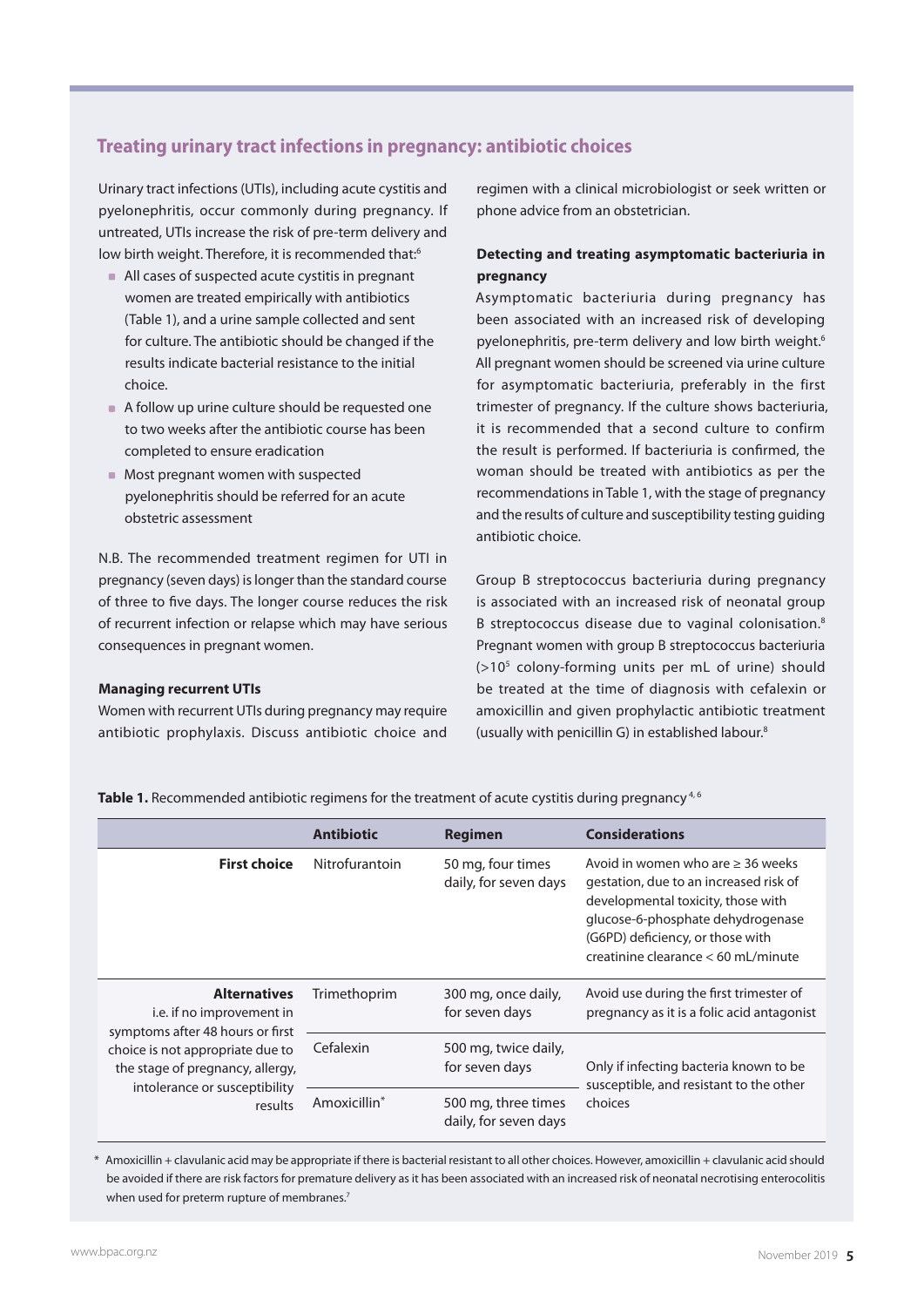# **Treating urinary tract infections in pregnancy: antibiotic choices**

Urinary tract infections (UTIs), including acute cystitis and pyelonephritis, occur commonly during pregnancy. If untreated, UTIs increase the risk of pre-term delivery and low birth weight. Therefore, it is recommended that:<sup>6</sup>

- All cases of suspected acute cystitis in pregnant women are treated empirically with antibiotics (Table 1), and a urine sample collected and sent for culture. The antibiotic should be changed if the results indicate bacterial resistance to the initial choice.
- A follow up urine culture should be requested one to two weeks after the antibiotic course has been completed to ensure eradication
- **Most pregnant women with suspected** pyelonephritis should be referred for an acute obstetric assessment

N.B. The recommended treatment regimen for UTI in pregnancy (seven days) is longer than the standard course of three to five days. The longer course reduces the risk of recurrent infection or relapse which may have serious consequences in pregnant women.

## **Managing recurrent UTIs**

Women with recurrent UTIs during pregnancy may require antibiotic prophylaxis. Discuss antibiotic choice and regimen with a clinical microbiologist or seek written or phone advice from an obstetrician.

## **Detecting and treating asymptomatic bacteriuria in pregnancy**

Asymptomatic bacteriuria during pregnancy has been associated with an increased risk of developing pyelonephritis, pre-term delivery and low birth weight.<sup>6</sup> All pregnant women should be screened via urine culture for asymptomatic bacteriuria, preferably in the first trimester of pregnancy. If the culture shows bacteriuria, it is recommended that a second culture to confirm the result is performed. If bacteriuria is confirmed, the woman should be treated with antibiotics as per the recommendations in Table 1, with the stage of pregnancy and the results of culture and susceptibility testing guiding antibiotic choice.

Group B streptococcus bacteriuria during pregnancy is associated with an increased risk of neonatal group B streptococcus disease due to vaginal colonisation.8 Pregnant women with group B streptococcus bacteriuria (>105 colony-forming units per mL of urine) should be treated at the time of diagnosis with cefalexin or amoxicillin and given prophylactic antibiotic treatment (usually with penicillin G) in established labour.8

Table 1. Recommended antibiotic regimens for the treatment of acute cystitis during pregnancy<sup>4,6</sup>

|                                                                                                                                                                                                                 | <b>Antibiotic</b>        | <b>Regimen</b>                               | <b>Considerations</b>                                                                                                                                                                                                                  |
|-----------------------------------------------------------------------------------------------------------------------------------------------------------------------------------------------------------------|--------------------------|----------------------------------------------|----------------------------------------------------------------------------------------------------------------------------------------------------------------------------------------------------------------------------------------|
| <b>First choice</b>                                                                                                                                                                                             | Nitrofurantoin           | 50 mg, four times<br>daily, for seven days   | Avoid in women who are $\geq$ 36 weeks<br>gestation, due to an increased risk of<br>developmental toxicity, those with<br>glucose-6-phosphate dehydrogenase<br>(G6PD) deficiency, or those with<br>creatinine clearance < 60 mL/minute |
| <b>Alternatives</b><br><i>i.e.</i> if no improvement in<br>symptoms after 48 hours or first<br>choice is not appropriate due to<br>the stage of pregnancy, allergy,<br>intolerance or susceptibility<br>results | Trimethoprim             | 300 mg, once daily,<br>for seven days        | Avoid use during the first trimester of<br>pregnancy as it is a folic acid antagonist                                                                                                                                                  |
|                                                                                                                                                                                                                 | Cefalexin                | 500 mg, twice daily,<br>for seven days       | Only if infecting bacteria known to be<br>susceptible, and resistant to the other<br>choices                                                                                                                                           |
|                                                                                                                                                                                                                 | Amoxicillin <sup>*</sup> | 500 mg, three times<br>daily, for seven days |                                                                                                                                                                                                                                        |

\* Amoxicillin + clavulanic acid may be appropriate if there is bacterial resistant to all other choices. However, amoxicillin + clavulanic acid should be avoided if there are risk factors for premature delivery as it has been associated with an increased risk of neonatal necrotising enterocolitis when used for preterm rupture of membranes.<sup>7</sup>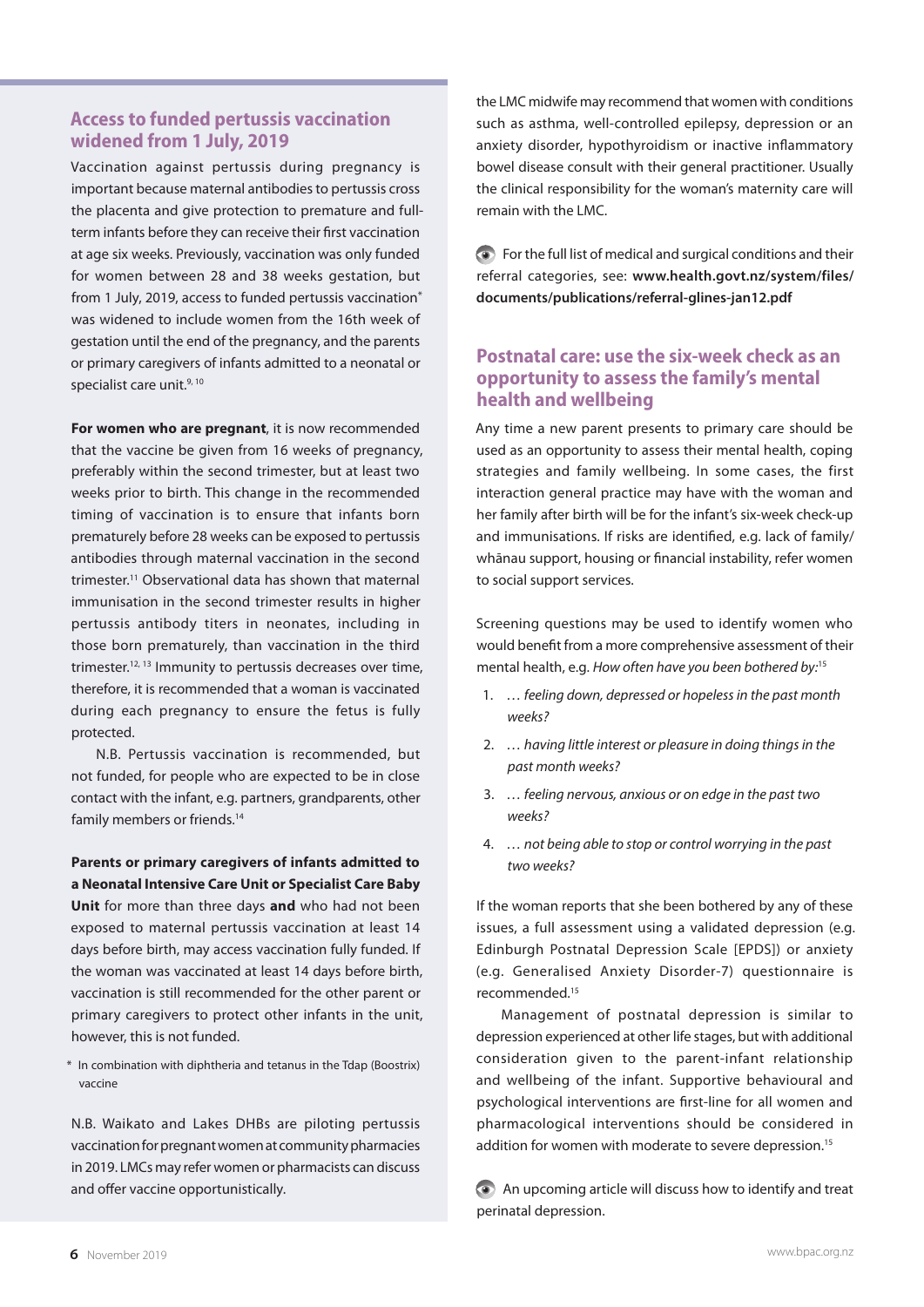# **Access to funded pertussis vaccination widened from 1 July, 2019**

Vaccination against pertussis during pregnancy is important because maternal antibodies to pertussis cross the placenta and give protection to premature and fullterm infants before they can receive their first vaccination at age six weeks. Previously, vaccination was only funded for women between 28 and 38 weeks gestation, but from 1 July, 2019, access to funded pertussis vaccination\* was widened to include women from the 16th week of gestation until the end of the pregnancy, and the parents or primary caregivers of infants admitted to a neonatal or specialist care unit.<sup>9, 10</sup>

**For women who are pregnant**, it is now recommended that the vaccine be given from 16 weeks of pregnancy, preferably within the second trimester, but at least two weeks prior to birth. This change in the recommended timing of vaccination is to ensure that infants born prematurely before 28 weeks can be exposed to pertussis antibodies through maternal vaccination in the second trimester.<sup>11</sup> Observational data has shown that maternal immunisation in the second trimester results in higher pertussis antibody titers in neonates, including in those born prematurely, than vaccination in the third trimester.<sup>12, 13</sup> Immunity to pertussis decreases over time, therefore, it is recommended that a woman is vaccinated during each pregnancy to ensure the fetus is fully protected.

N.B. Pertussis vaccination is recommended, but not funded, for people who are expected to be in close contact with the infant, e.g. partners, grandparents, other family members or friends.<sup>14</sup>

## **Parents or primary caregivers of infants admitted to a Neonatal Intensive Care Unit or Specialist Care Baby**

**Unit** for more than three days **and** who had not been exposed to maternal pertussis vaccination at least 14 days before birth, may access vaccination fully funded. If the woman was vaccinated at least 14 days before birth, vaccination is still recommended for the other parent or primary caregivers to protect other infants in the unit, however, this is not funded.

\* In combination with diphtheria and tetanus in the Tdap (Boostrix) vaccine

N.B. Waikato and Lakes DHBs are piloting pertussis vaccination for pregnant women at community pharmacies in 2019. LMCs may refer women or pharmacists can discuss and offer vaccine opportunistically.

the LMC midwife may recommend that women with conditions such as asthma, well-controlled epilepsy, depression or an anxiety disorder, hypothyroidism or inactive inflammatory bowel disease consult with their general practitioner. Usually the clinical responsibility for the woman's maternity care will remain with the LMC.

For the full list of medical and surgical conditions and their referral categories, see: **[www.health.govt.nz/system/files/](www.health.govt.nz/system/files/documents/publications/referral-glines-jan12.pdf) [documents/publications/referral-glines-jan12.pdf](www.health.govt.nz/system/files/documents/publications/referral-glines-jan12.pdf)**

# **Postnatal care: use the six-week check as an opportunity to assess the family's mental health and wellbeing**

Any time a new parent presents to primary care should be used as an opportunity to assess their mental health, coping strategies and family wellbeing. In some cases, the first interaction general practice may have with the woman and her family after birth will be for the infant's six-week check-up and immunisations. If risks are identified, e.g. lack of family/ whānau support, housing or financial instability, refer women to social support services.

Screening questions may be used to identify women who would benefit from a more comprehensive assessment of their mental health, e.g. *How often have you been bothered by:*<sup>15</sup>

- 1. *… feeling down, depressed or hopeless in the past month weeks?*
- 2. *… having little interest or pleasure in doing things in the past month weeks?*
- 3. *… feeling nervous, anxious or on edge in the past two weeks?*
- 4. *… not being able to stop or control worrying in the past two weeks?*

If the woman reports that she been bothered by any of these issues, a full assessment using a validated depression (e.g. Edinburgh Postnatal Depression Scale [EPDS]) or anxiety (e.g. Generalised Anxiety Disorder-7) questionnaire is recommended.15

Management of postnatal depression is similar to depression experienced at other life stages, but with additional consideration given to the parent-infant relationship and wellbeing of the infant. Supportive behavioural and psychological interventions are first-line for all women and pharmacological interventions should be considered in addition for women with moderate to severe depression.<sup>15</sup>

An upcoming article will discuss how to identify and treat perinatal depression.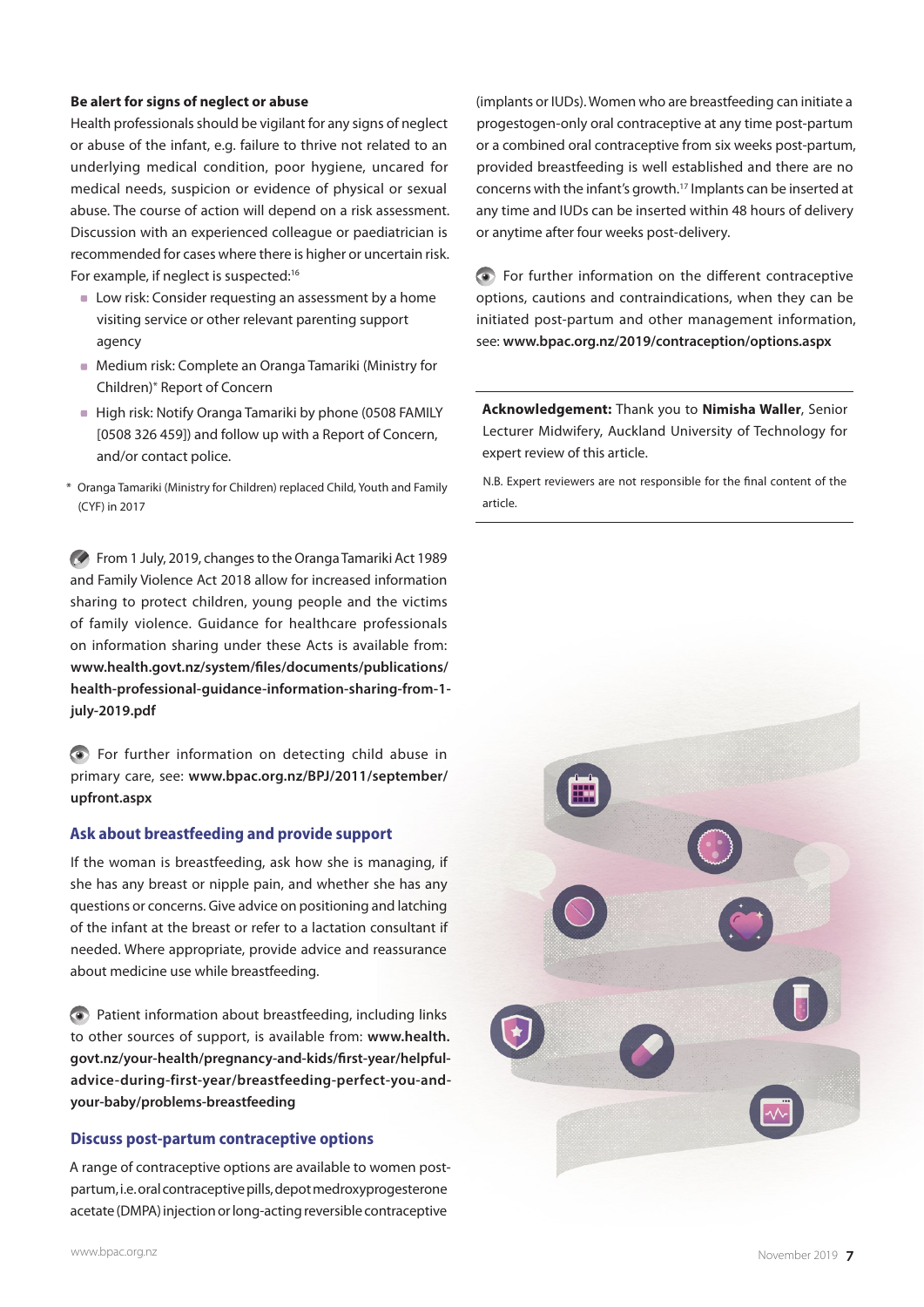### **Be alert for signs of neglect or abuse**

Health professionals should be vigilant for any signs of neglect or abuse of the infant, e.g. failure to thrive not related to an underlying medical condition, poor hygiene, uncared for medical needs, suspicion or evidence of physical or sexual abuse. The course of action will depend on a risk assessment. Discussion with an experienced colleague or paediatrician is recommended for cases where there is higher or uncertain risk. For example, if neglect is suspected:<sup>16</sup>

- **Low risk: Consider requesting an assessment by a home** visiting service or other relevant parenting support agency
- Medium risk: Complete an Oranga Tamariki (Ministry for Children)\* Report of Concern
- High risk: Notify Oranga Tamariki by phone (0508 FAMILY [0508 326 459]) and follow up with a Report of Concern, and/or contact police.
- \* Oranga Tamariki (Ministry for Children) replaced Child, Youth and Family (CYF) in 2017

From 1 July, 2019, changes to the Oranga Tamariki Act 1989 and Family Violence Act 2018 allow for increased information sharing to protect children, young people and the victims of family violence. Guidance for healthcare professionals on information sharing under these Acts is available from: **[www.health.govt.nz/system/files/documents/publications/](www.health.govt.nz/system/files/documents/publications/health-professional-guidance-information-sharing-from-1-july-2019.pdf) [health-professional-guidance-information-sharing-from-1](www.health.govt.nz/system/files/documents/publications/health-professional-guidance-information-sharing-from-1-july-2019.pdf) [july-2019.pdf](www.health.govt.nz/system/files/documents/publications/health-professional-guidance-information-sharing-from-1-july-2019.pdf)**

For further information on detecting child abuse in primary care, see: **[www.bpac.org.nz/BPJ/2011/september/](www.bpac.org.nz/BPJ/2011/september/upfront.aspx) [upfront.aspx](www.bpac.org.nz/BPJ/2011/september/upfront.aspx)**

## **Ask about breastfeeding and provide support**

If the woman is breastfeeding, ask how she is managing, if she has any breast or nipple pain, and whether she has any questions or concerns. Give advice on positioning and latching of the infant at the breast or refer to a lactation consultant if needed. Where appropriate, provide advice and reassurance about medicine use while breastfeeding.

Patient information about breastfeeding, including links to other sources of support, is available from: **[www.health.](www.health.govt.nz/your-health/pregnancy-and-kids/first-year/helpful-advice-during-first-year/breastfeeding-perfect-you-and-your-baby/problems-breastfeeding) [govt.nz/your-health/pregnancy-and-kids/first-year/helpful](www.health.govt.nz/your-health/pregnancy-and-kids/first-year/helpful-advice-during-first-year/breastfeeding-perfect-you-and-your-baby/problems-breastfeeding)[advice-during-first-year/breastfeeding-perfect-you-and](www.health.govt.nz/your-health/pregnancy-and-kids/first-year/helpful-advice-during-first-year/breastfeeding-perfect-you-and-your-baby/problems-breastfeeding)[your-baby/problems-breastfeeding](www.health.govt.nz/your-health/pregnancy-and-kids/first-year/helpful-advice-during-first-year/breastfeeding-perfect-you-and-your-baby/problems-breastfeeding)**

### **Discuss post-partum contraceptive options**

A range of contraceptive options are available to women postpartum, i.e. oral contraceptive pills, depot medroxyprogesterone acetate (DMPA) injection or long-acting reversible contraceptive

(implants or IUDs). Women who are breastfeeding can initiate a progestogen-only oral contraceptive at any time post-partum or a combined oral contraceptive from six weeks post-partum, provided breastfeeding is well established and there are no concerns with the infant's growth.17 Implants can be inserted at any time and IUDs can be inserted within 48 hours of delivery or anytime after four weeks post-delivery.

For further information on the different contraceptive options, cautions and contraindications, when they can be initiated post-partum and other management information, see: **<www.bpac.org.nz/2019/contraception/options.aspx>**

**Acknowledgement:** Thank you to **Nimisha Waller**, Senior Lecturer Midwifery, Auckland University of Technology for expert review of this article.

N.B. Expert reviewers are not responsible for the final content of the article.